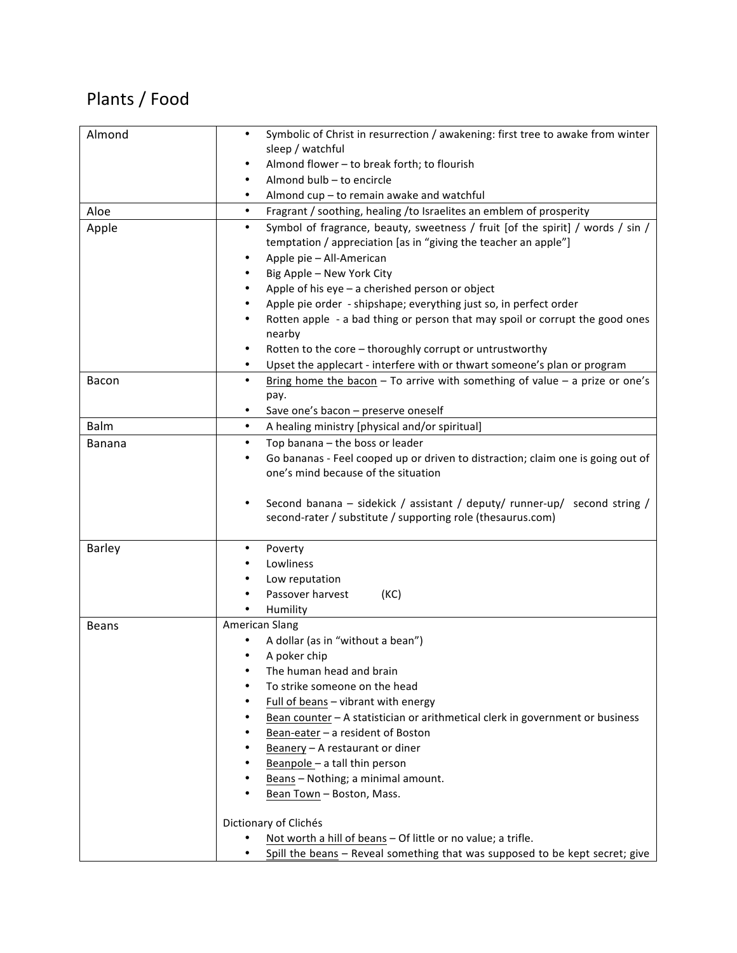## Plants / Food

| Almond        | Symbolic of Christ in resurrection / awakening: first tree to awake from winter<br>٠                                                                                                            |
|---------------|-------------------------------------------------------------------------------------------------------------------------------------------------------------------------------------------------|
|               | sleep / watchful                                                                                                                                                                                |
|               | Almond flower - to break forth; to flourish                                                                                                                                                     |
|               | Almond bulb - to encircle                                                                                                                                                                       |
|               | Almond cup - to remain awake and watchful                                                                                                                                                       |
| Aloe          | $\bullet$<br>Fragrant / soothing, healing / to Israelites an emblem of prosperity                                                                                                               |
| Apple         | Symbol of fragrance, beauty, sweetness / fruit [of the spirit] / words / sin /<br>$\bullet$<br>temptation / appreciation [as in "giving the teacher an apple"]<br>Apple pie - All-American<br>٠ |
|               | Big Apple - New York City                                                                                                                                                                       |
|               | Apple of his eye - a cherished person or object                                                                                                                                                 |
|               | Apple pie order - shipshape; everything just so, in perfect order                                                                                                                               |
|               | Rotten apple - a bad thing or person that may spoil or corrupt the good ones<br>nearby                                                                                                          |
|               | Rotten to the core - thoroughly corrupt or untrustworthy<br>٠                                                                                                                                   |
|               | Upset the applecart - interfere with or thwart someone's plan or program<br>٠                                                                                                                   |
| Bacon         | Bring home the bacon $-$ To arrive with something of value $-$ a prize or one's<br>$\bullet$<br>pay.                                                                                            |
|               | Save one's bacon - preserve oneself<br>$\bullet$                                                                                                                                                |
| Balm          | A healing ministry [physical and/or spiritual]<br>٠                                                                                                                                             |
| <b>Banana</b> | Top banana - the boss or leader<br>٠                                                                                                                                                            |
|               | Go bananas - Feel cooped up or driven to distraction; claim one is going out of                                                                                                                 |
|               | one's mind because of the situation                                                                                                                                                             |
|               | Second banana - sidekick / assistant / deputy/ runner-up/ second string /<br>٠<br>second-rater / substitute / supporting role (thesaurus.com)                                                   |
| Barley        | Poverty                                                                                                                                                                                         |
|               | Lowliness                                                                                                                                                                                       |
|               | Low reputation                                                                                                                                                                                  |
|               | Passover harvest<br>(KC)                                                                                                                                                                        |
|               | Humility                                                                                                                                                                                        |
| <b>Beans</b>  | American Slang                                                                                                                                                                                  |
|               | A dollar (as in "without a bean")                                                                                                                                                               |
|               | A poker chip                                                                                                                                                                                    |
|               | The human head and brain                                                                                                                                                                        |
|               | To strike someone on the head                                                                                                                                                                   |
|               | Full of beans - vibrant with energy                                                                                                                                                             |
|               | Bean counter - A statistician or arithmetical clerk in government or business                                                                                                                   |
|               | Bean-eater - a resident of Boston                                                                                                                                                               |
|               | Beanery - A restaurant or diner                                                                                                                                                                 |
|               | Beanpole - a tall thin person                                                                                                                                                                   |
|               | Beans - Nothing; a minimal amount.                                                                                                                                                              |
|               | Bean Town - Boston, Mass.                                                                                                                                                                       |
|               | Dictionary of Clichés                                                                                                                                                                           |
|               | Not worth a hill of beans - Of little or no value; a trifle.                                                                                                                                    |
|               | Spill the beans - Reveal something that was supposed to be kept secret; give                                                                                                                    |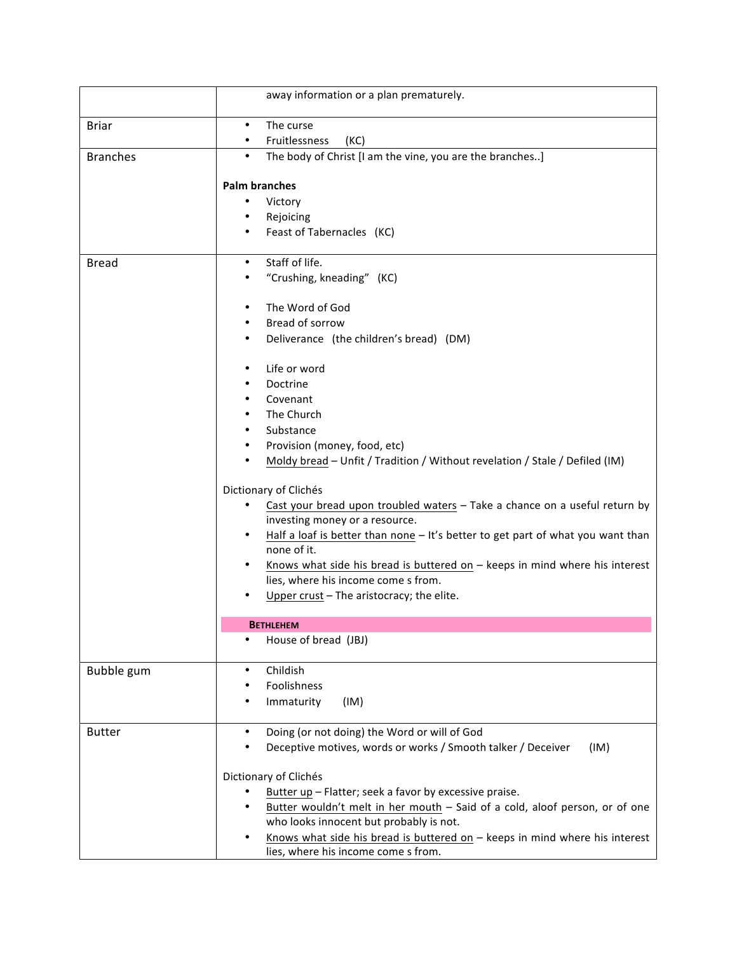|                 | away information or a plan prematurely.                                         |
|-----------------|---------------------------------------------------------------------------------|
| <b>Briar</b>    | The curse<br>$\bullet$<br>Fruitlessness<br>(KC)                                 |
| <b>Branches</b> | The body of Christ [I am the vine, you are the branches]<br>$\bullet$           |
|                 |                                                                                 |
|                 | <b>Palm branches</b>                                                            |
|                 | Victory                                                                         |
|                 | Rejoicing                                                                       |
|                 | Feast of Tabernacles (KC)                                                       |
| <b>Bread</b>    | Staff of life.<br>$\bullet$                                                     |
|                 | "Crushing, kneading" (KC)                                                       |
|                 | The Word of God                                                                 |
|                 | Bread of sorrow                                                                 |
|                 | Deliverance (the children's bread) (DM)                                         |
|                 | Life or word                                                                    |
|                 | Doctrine                                                                        |
|                 | Covenant                                                                        |
|                 | The Church                                                                      |
|                 | Substance                                                                       |
|                 | Provision (money, food, etc)                                                    |
|                 | Moldy bread - Unfit / Tradition / Without revelation / Stale / Defiled (IM)     |
|                 | Dictionary of Clichés                                                           |
|                 | Cast your bread upon troubled waters - Take a chance on a useful return by      |
|                 | investing money or a resource.                                                  |
|                 | Half a loaf is better than none - It's better to get part of what you want than |
|                 | none of it.                                                                     |
|                 | Knows what side his bread is buttered on $-$ keeps in mind where his interest   |
|                 | lies, where his income come s from.                                             |
|                 | Upper crust - The aristocracy; the elite.                                       |
|                 | <b>BETHLEHEM</b>                                                                |
|                 | House of bread (JBJ)<br>٠                                                       |
| Bubble gum      | Childish                                                                        |
|                 | Foolishness                                                                     |
|                 | Immaturity<br>(IM)                                                              |
| <b>Butter</b>   | Doing (or not doing) the Word or will of God                                    |
|                 | Deceptive motives, words or works / Smooth talker / Deceiver<br>(IM)            |
|                 | Dictionary of Clichés                                                           |
|                 | Butter up - Flatter; seek a favor by excessive praise.                          |
|                 | Butter wouldn't melt in her mouth - Said of a cold, aloof person, or of one     |
|                 | who looks innocent but probably is not.                                         |
|                 | Knows what side his bread is buttered on $-$ keeps in mind where his interest   |
|                 | lies, where his income come s from.                                             |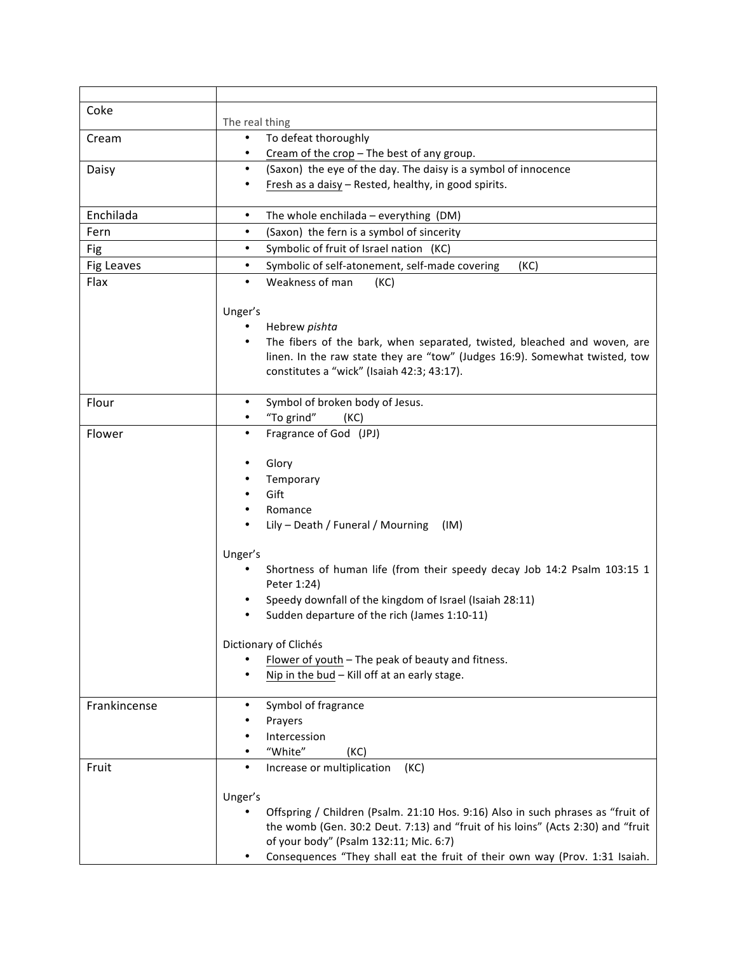| Coke                                     | The real thing                                                                                                                                                                                                                                                                                                                                                                                                                                                                                                                                                                                                                                                                                                                                                                                                                                                      |
|------------------------------------------|---------------------------------------------------------------------------------------------------------------------------------------------------------------------------------------------------------------------------------------------------------------------------------------------------------------------------------------------------------------------------------------------------------------------------------------------------------------------------------------------------------------------------------------------------------------------------------------------------------------------------------------------------------------------------------------------------------------------------------------------------------------------------------------------------------------------------------------------------------------------|
| Cream                                    | To defeat thoroughly                                                                                                                                                                                                                                                                                                                                                                                                                                                                                                                                                                                                                                                                                                                                                                                                                                                |
|                                          | Cream of the crop - The best of any group.                                                                                                                                                                                                                                                                                                                                                                                                                                                                                                                                                                                                                                                                                                                                                                                                                          |
| Daisy                                    | (Saxon) the eye of the day. The daisy is a symbol of innocence<br>$\bullet$                                                                                                                                                                                                                                                                                                                                                                                                                                                                                                                                                                                                                                                                                                                                                                                         |
|                                          | Fresh as a daisy - Rested, healthy, in good spirits.                                                                                                                                                                                                                                                                                                                                                                                                                                                                                                                                                                                                                                                                                                                                                                                                                |
|                                          |                                                                                                                                                                                                                                                                                                                                                                                                                                                                                                                                                                                                                                                                                                                                                                                                                                                                     |
| Enchilada                                | The whole enchilada - everything (DM)<br>$\bullet$                                                                                                                                                                                                                                                                                                                                                                                                                                                                                                                                                                                                                                                                                                                                                                                                                  |
| Fern                                     | (Saxon) the fern is a symbol of sincerity<br>$\bullet$                                                                                                                                                                                                                                                                                                                                                                                                                                                                                                                                                                                                                                                                                                                                                                                                              |
| Fig                                      | Symbolic of fruit of Israel nation (KC)<br>$\bullet$                                                                                                                                                                                                                                                                                                                                                                                                                                                                                                                                                                                                                                                                                                                                                                                                                |
| <b>Fig Leaves</b>                        | Symbolic of self-atonement, self-made covering<br>$\bullet$<br>(KC)                                                                                                                                                                                                                                                                                                                                                                                                                                                                                                                                                                                                                                                                                                                                                                                                 |
| Flax                                     | Weakness of man<br>$\bullet$<br>(KC)                                                                                                                                                                                                                                                                                                                                                                                                                                                                                                                                                                                                                                                                                                                                                                                                                                |
|                                          |                                                                                                                                                                                                                                                                                                                                                                                                                                                                                                                                                                                                                                                                                                                                                                                                                                                                     |
|                                          | Unger's                                                                                                                                                                                                                                                                                                                                                                                                                                                                                                                                                                                                                                                                                                                                                                                                                                                             |
|                                          | Hebrew pishta                                                                                                                                                                                                                                                                                                                                                                                                                                                                                                                                                                                                                                                                                                                                                                                                                                                       |
|                                          | The fibers of the bark, when separated, twisted, bleached and woven, are                                                                                                                                                                                                                                                                                                                                                                                                                                                                                                                                                                                                                                                                                                                                                                                            |
|                                          | linen. In the raw state they are "tow" (Judges 16:9). Somewhat twisted, tow                                                                                                                                                                                                                                                                                                                                                                                                                                                                                                                                                                                                                                                                                                                                                                                         |
|                                          |                                                                                                                                                                                                                                                                                                                                                                                                                                                                                                                                                                                                                                                                                                                                                                                                                                                                     |
|                                          |                                                                                                                                                                                                                                                                                                                                                                                                                                                                                                                                                                                                                                                                                                                                                                                                                                                                     |
|                                          |                                                                                                                                                                                                                                                                                                                                                                                                                                                                                                                                                                                                                                                                                                                                                                                                                                                                     |
|                                          |                                                                                                                                                                                                                                                                                                                                                                                                                                                                                                                                                                                                                                                                                                                                                                                                                                                                     |
|                                          |                                                                                                                                                                                                                                                                                                                                                                                                                                                                                                                                                                                                                                                                                                                                                                                                                                                                     |
|                                          |                                                                                                                                                                                                                                                                                                                                                                                                                                                                                                                                                                                                                                                                                                                                                                                                                                                                     |
|                                          |                                                                                                                                                                                                                                                                                                                                                                                                                                                                                                                                                                                                                                                                                                                                                                                                                                                                     |
|                                          |                                                                                                                                                                                                                                                                                                                                                                                                                                                                                                                                                                                                                                                                                                                                                                                                                                                                     |
|                                          |                                                                                                                                                                                                                                                                                                                                                                                                                                                                                                                                                                                                                                                                                                                                                                                                                                                                     |
|                                          |                                                                                                                                                                                                                                                                                                                                                                                                                                                                                                                                                                                                                                                                                                                                                                                                                                                                     |
|                                          |                                                                                                                                                                                                                                                                                                                                                                                                                                                                                                                                                                                                                                                                                                                                                                                                                                                                     |
|                                          |                                                                                                                                                                                                                                                                                                                                                                                                                                                                                                                                                                                                                                                                                                                                                                                                                                                                     |
|                                          |                                                                                                                                                                                                                                                                                                                                                                                                                                                                                                                                                                                                                                                                                                                                                                                                                                                                     |
|                                          |                                                                                                                                                                                                                                                                                                                                                                                                                                                                                                                                                                                                                                                                                                                                                                                                                                                                     |
|                                          |                                                                                                                                                                                                                                                                                                                                                                                                                                                                                                                                                                                                                                                                                                                                                                                                                                                                     |
|                                          |                                                                                                                                                                                                                                                                                                                                                                                                                                                                                                                                                                                                                                                                                                                                                                                                                                                                     |
|                                          |                                                                                                                                                                                                                                                                                                                                                                                                                                                                                                                                                                                                                                                                                                                                                                                                                                                                     |
|                                          | Dictionary of Clichés                                                                                                                                                                                                                                                                                                                                                                                                                                                                                                                                                                                                                                                                                                                                                                                                                                               |
|                                          | Flower of youth - The peak of beauty and fitness.                                                                                                                                                                                                                                                                                                                                                                                                                                                                                                                                                                                                                                                                                                                                                                                                                   |
|                                          | Nip in the bud - Kill off at an early stage.                                                                                                                                                                                                                                                                                                                                                                                                                                                                                                                                                                                                                                                                                                                                                                                                                        |
|                                          |                                                                                                                                                                                                                                                                                                                                                                                                                                                                                                                                                                                                                                                                                                                                                                                                                                                                     |
|                                          | ٠                                                                                                                                                                                                                                                                                                                                                                                                                                                                                                                                                                                                                                                                                                                                                                                                                                                                   |
|                                          |                                                                                                                                                                                                                                                                                                                                                                                                                                                                                                                                                                                                                                                                                                                                                                                                                                                                     |
|                                          | Intercession                                                                                                                                                                                                                                                                                                                                                                                                                                                                                                                                                                                                                                                                                                                                                                                                                                                        |
|                                          |                                                                                                                                                                                                                                                                                                                                                                                                                                                                                                                                                                                                                                                                                                                                                                                                                                                                     |
|                                          |                                                                                                                                                                                                                                                                                                                                                                                                                                                                                                                                                                                                                                                                                                                                                                                                                                                                     |
|                                          |                                                                                                                                                                                                                                                                                                                                                                                                                                                                                                                                                                                                                                                                                                                                                                                                                                                                     |
|                                          |                                                                                                                                                                                                                                                                                                                                                                                                                                                                                                                                                                                                                                                                                                                                                                                                                                                                     |
|                                          |                                                                                                                                                                                                                                                                                                                                                                                                                                                                                                                                                                                                                                                                                                                                                                                                                                                                     |
|                                          |                                                                                                                                                                                                                                                                                                                                                                                                                                                                                                                                                                                                                                                                                                                                                                                                                                                                     |
|                                          |                                                                                                                                                                                                                                                                                                                                                                                                                                                                                                                                                                                                                                                                                                                                                                                                                                                                     |
| Flour<br>Flower<br>Frankincense<br>Fruit | constitutes a "wick" (Isaiah 42:3; 43:17).<br>Symbol of broken body of Jesus.<br>$\bullet$<br>"To grind"<br>(KC)<br>Fragrance of God (JPJ)<br>$\bullet$<br>Glory<br>Temporary<br>Gift<br>Romance<br>Lily - Death / Funeral / Mourning<br>(IM)<br>Unger's<br>Shortness of human life (from their speedy decay Job 14:2 Psalm 103:15 1<br>Peter 1:24)<br>Speedy downfall of the kingdom of Israel (Isaiah 28:11)<br>Sudden departure of the rich (James 1:10-11)<br>Symbol of fragrance<br>Prayers<br>"White"<br>(KC)<br>(KC)<br>Increase or multiplication<br>Unger's<br>Offspring / Children (Psalm. 21:10 Hos. 9:16) Also in such phrases as "fruit of<br>the womb (Gen. 30:2 Deut. 7:13) and "fruit of his loins" (Acts 2:30) and "fruit<br>of your body" (Psalm 132:11; Mic. 6:7)<br>Consequences "They shall eat the fruit of their own way (Prov. 1:31 Isaiah. |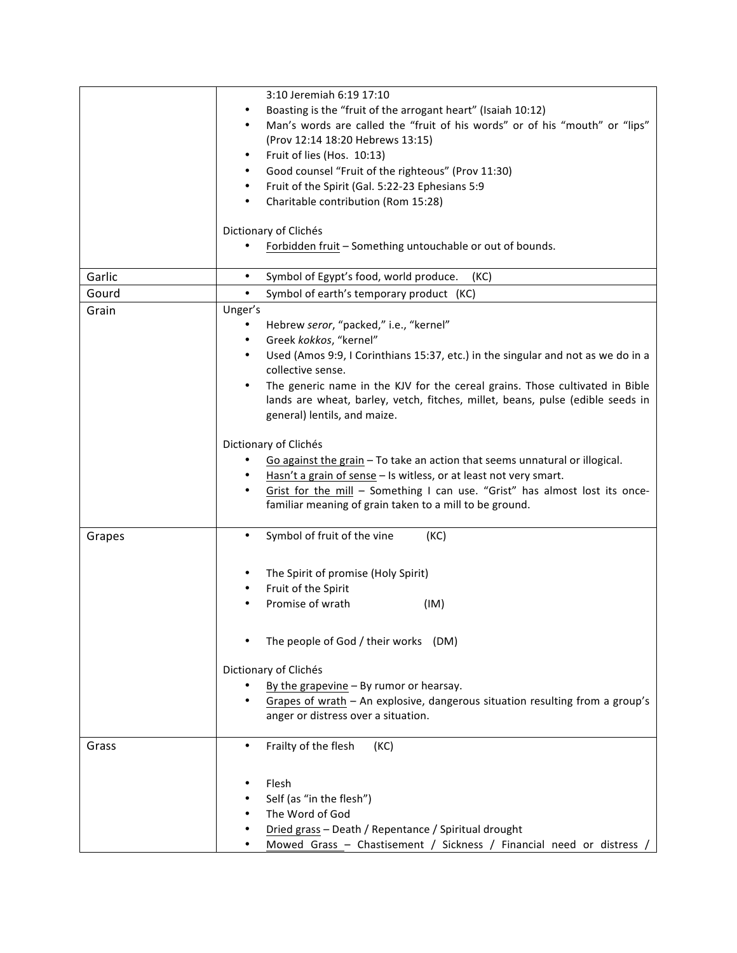|        | 3:10 Jeremiah 6:19 17:10                                                              |
|--------|---------------------------------------------------------------------------------------|
|        | Boasting is the "fruit of the arrogant heart" (Isaiah 10:12)                          |
|        | Man's words are called the "fruit of his words" or of his "mouth" or "lips"           |
|        | (Prov 12:14 18:20 Hebrews 13:15)                                                      |
|        | Fruit of lies (Hos. 10:13)<br>٠                                                       |
|        | Good counsel "Fruit of the righteous" (Prov 11:30)<br>٠                               |
|        |                                                                                       |
|        | Fruit of the Spirit (Gal. 5:22-23 Ephesians 5:9                                       |
|        | Charitable contribution (Rom 15:28)                                                   |
|        |                                                                                       |
|        | Dictionary of Clichés                                                                 |
|        | Forbidden fruit - Something untouchable or out of bounds.                             |
|        |                                                                                       |
| Garlic | Symbol of Egypt's food, world produce.<br>$\bullet$<br>(KC)                           |
| Gourd  | Symbol of earth's temporary product (KC)<br>$\bullet$                                 |
| Grain  | Unger's                                                                               |
|        | Hebrew seror, "packed," i.e., "kernel"                                                |
|        | Greek kokkos, "kernel"                                                                |
|        | Used (Amos 9:9, I Corinthians 15:37, etc.) in the singular and not as we do in a<br>٠ |
|        | collective sense.                                                                     |
|        | The generic name in the KJV for the cereal grains. Those cultivated in Bible          |
|        | lands are wheat, barley, vetch, fitches, millet, beans, pulse (edible seeds in        |
|        | general) lentils, and maize.                                                          |
|        |                                                                                       |
|        | Dictionary of Clichés                                                                 |
|        | Go against the grain - To take an action that seems unnatural or illogical.           |
|        |                                                                                       |
|        | Hasn't a grain of sense - Is witless, or at least not very smart.                     |
|        | Grist for the mill - Something I can use. "Grist" has almost lost its once-           |
|        | familiar meaning of grain taken to a mill to be ground.                               |
|        |                                                                                       |
| Grapes | Symbol of fruit of the vine<br>(KC)                                                   |
|        |                                                                                       |
|        | The Spirit of promise (Holy Spirit)                                                   |
|        | Fruit of the Spirit                                                                   |
|        | Promise of wrath<br>(IM)                                                              |
|        |                                                                                       |
|        |                                                                                       |
|        | The people of God / their works (DM)                                                  |
|        |                                                                                       |
|        | Dictionary of Clichés                                                                 |
|        | By the grapevine $-$ By rumor or hearsay.                                             |
|        | Grapes of wrath - An explosive, dangerous situation resulting from a group's          |
|        | anger or distress over a situation.                                                   |
|        |                                                                                       |
| Grass  | Frailty of the flesh<br>(KC)<br>٠                                                     |
|        |                                                                                       |
|        |                                                                                       |
|        | Flesh                                                                                 |
|        | Self (as "in the flesh")                                                              |
|        | The Word of God                                                                       |
|        | Dried grass - Death / Repentance / Spiritual drought                                  |
|        | Mowed Grass - Chastisement / Sickness / Financial need or distress /                  |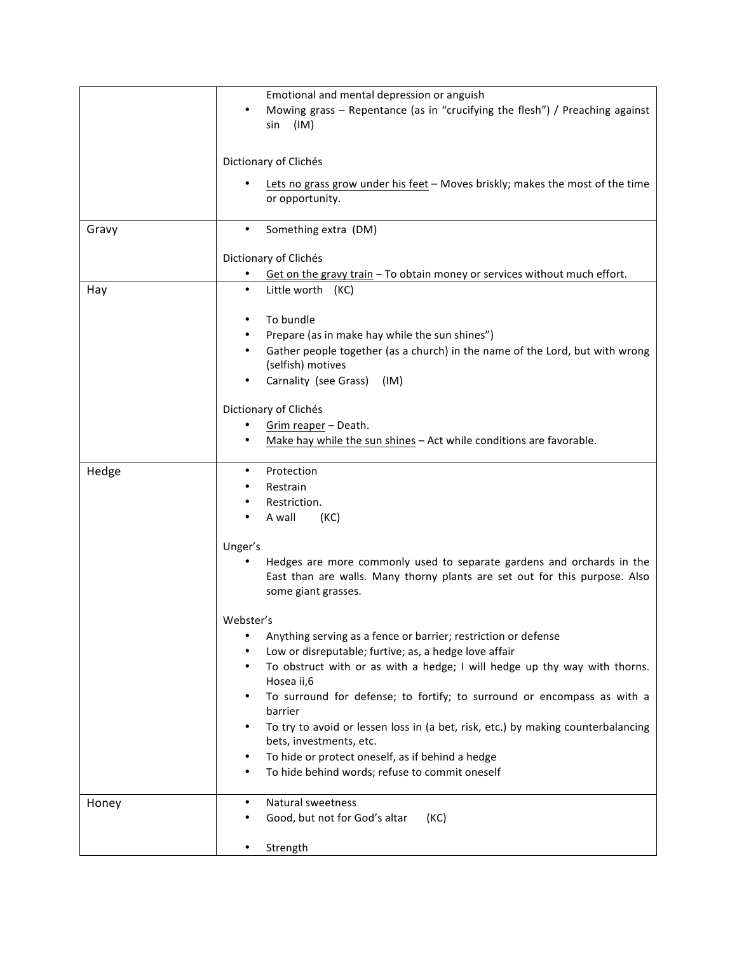|       | Emotional and mental depression or anguish                                                                                                                                 |
|-------|----------------------------------------------------------------------------------------------------------------------------------------------------------------------------|
|       | Mowing grass - Repentance (as in "crucifying the flesh") / Preaching against<br>(IM)<br>sin                                                                                |
|       |                                                                                                                                                                            |
|       | Dictionary of Clichés                                                                                                                                                      |
|       | Lets no grass grow under his feet - Moves briskly; makes the most of the time<br>or opportunity.                                                                           |
| Gravy | Something extra (DM)                                                                                                                                                       |
|       | Dictionary of Clichés                                                                                                                                                      |
|       | Get on the gravy train - To obtain money or services without much effort.                                                                                                  |
| Hay   | Little worth (KC)<br>$\bullet$                                                                                                                                             |
|       | To bundle                                                                                                                                                                  |
|       | Prepare (as in make hay while the sun shines")                                                                                                                             |
|       | Gather people together (as a church) in the name of the Lord, but with wrong                                                                                               |
|       | (selfish) motives                                                                                                                                                          |
|       | Carnality (see Grass)<br>(IM)                                                                                                                                              |
|       | Dictionary of Clichés                                                                                                                                                      |
|       | Grim reaper - Death.                                                                                                                                                       |
|       | Make hay while the sun shines - Act while conditions are favorable.                                                                                                        |
| Hedge | Protection                                                                                                                                                                 |
|       | Restrain                                                                                                                                                                   |
|       | Restriction.                                                                                                                                                               |
|       | A wall<br>(KC)                                                                                                                                                             |
|       | Unger's                                                                                                                                                                    |
|       | Hedges are more commonly used to separate gardens and orchards in the<br>East than are walls. Many thorny plants are set out for this purpose. Also<br>some giant grasses. |
|       | Webster's                                                                                                                                                                  |
|       | Anything serving as a fence or barrier; restriction or defense                                                                                                             |
|       | Low or disreputable; furtive; as, a hedge love affair                                                                                                                      |
|       | To obstruct with or as with a hedge; I will hedge up thy way with thorns.                                                                                                  |
|       | Hosea ii,6                                                                                                                                                                 |
|       | To surround for defense; to fortify; to surround or encompass as with a<br>barrier                                                                                         |
|       | To try to avoid or lessen loss in (a bet, risk, etc.) by making counterbalancing                                                                                           |
|       | bets, investments, etc.                                                                                                                                                    |
|       | To hide or protect oneself, as if behind a hedge<br>To hide behind words; refuse to commit oneself                                                                         |
|       |                                                                                                                                                                            |
| Honey | Natural sweetness                                                                                                                                                          |
|       | Good, but not for God's altar<br>(KC)                                                                                                                                      |
|       | Strength                                                                                                                                                                   |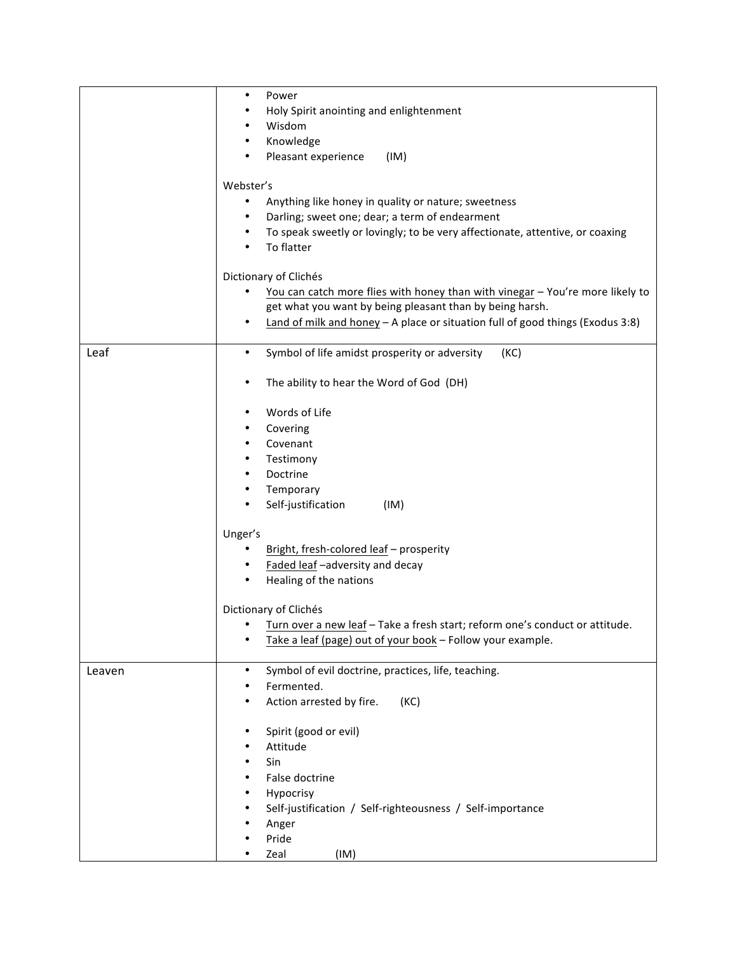|        | $\bullet$<br>Power                                                                    |
|--------|---------------------------------------------------------------------------------------|
|        |                                                                                       |
|        | Holy Spirit anointing and enlightenment                                               |
|        | Wisdom                                                                                |
|        | Knowledge<br>٠                                                                        |
|        | Pleasant experience<br>(IM)                                                           |
|        | Webster's                                                                             |
|        | Anything like honey in quality or nature; sweetness<br>$\bullet$                      |
|        | ٠                                                                                     |
|        | Darling; sweet one; dear; a term of endearment                                        |
|        | To speak sweetly or lovingly; to be very affectionate, attentive, or coaxing<br>٠     |
|        | To flatter<br>$\bullet$                                                               |
|        | Dictionary of Clichés                                                                 |
|        | You can catch more flies with honey than with vinegar - You're more likely to         |
|        | get what you want by being pleasant than by being harsh.                              |
|        | Land of milk and honey $-$ A place or situation full of good things (Exodus 3:8)<br>٠ |
|        |                                                                                       |
| Leaf   | Symbol of life amidst prosperity or adversity<br>(KC)<br>$\bullet$                    |
|        |                                                                                       |
|        | The ability to hear the Word of God (DH)<br>٠                                         |
|        |                                                                                       |
|        | Words of Life<br>٠                                                                    |
|        | Covering                                                                              |
|        | Covenant                                                                              |
|        | Testimony<br>٠                                                                        |
|        | Doctrine<br>٠                                                                         |
|        | Temporary<br>٠                                                                        |
|        | Self-justification<br>(IM)                                                            |
|        |                                                                                       |
|        | Unger's                                                                               |
|        | Bright, fresh-colored leaf - prosperity<br>٠                                          |
|        | Faded leaf -adversity and decay<br>٠                                                  |
|        | Healing of the nations<br>٠                                                           |
|        |                                                                                       |
|        | Dictionary of Clichés                                                                 |
|        | Turn over a new leaf - Take a fresh start; reform one's conduct or attitude.          |
|        | Take a leaf (page) out of your book - Follow your example.                            |
|        |                                                                                       |
| Leaven | Symbol of evil doctrine, practices, life, teaching.<br>$\bullet$                      |
|        | Fermented.                                                                            |
|        | Action arrested by fire.<br>(KC)                                                      |
|        |                                                                                       |
|        | Spirit (good or evil)                                                                 |
|        | Attitude                                                                              |
|        | Sin<br>٠                                                                              |
|        | False doctrine                                                                        |
|        | Hypocrisy                                                                             |
|        | Self-justification / Self-righteousness / Self-importance                             |
|        | Anger                                                                                 |
|        | Pride                                                                                 |
|        |                                                                                       |
|        | (IM)<br>Zeal                                                                          |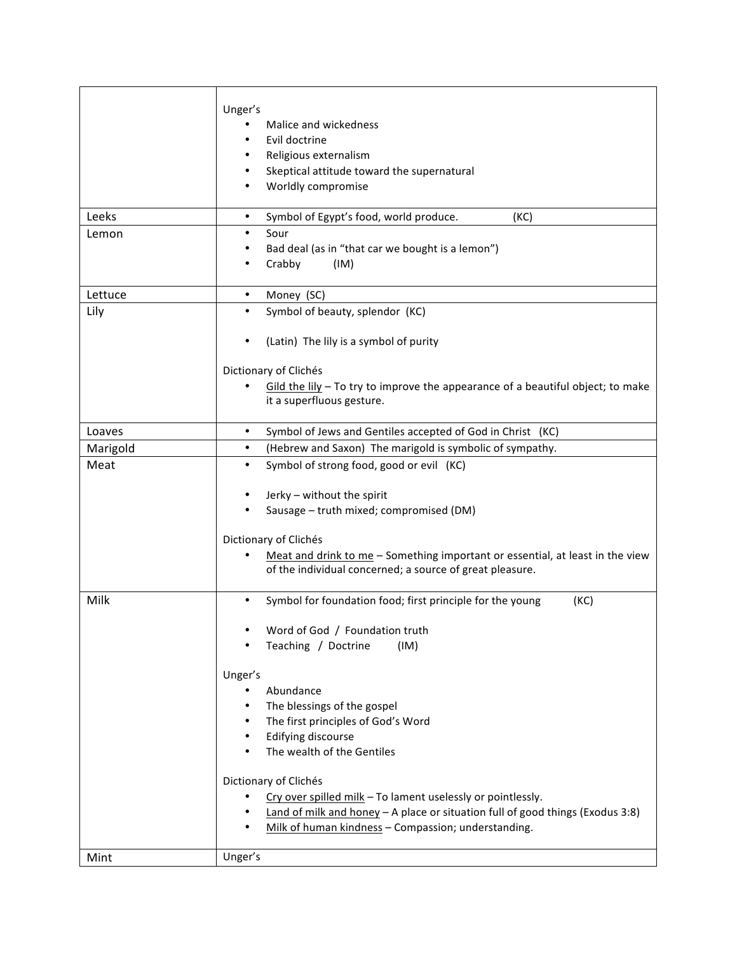| Leeks    | Unger's<br>Malice and wickedness<br>Evil doctrine<br>Religious externalism<br>Skeptical attitude toward the supernatural<br>Worldly compromise<br>Symbol of Egypt's food, world produce.<br>(KC)<br>$\bullet$ |
|----------|---------------------------------------------------------------------------------------------------------------------------------------------------------------------------------------------------------------|
| Lemon    | Sour                                                                                                                                                                                                          |
|          | Bad deal (as in "that car we bought is a lemon")<br>Crabby<br>(IM)                                                                                                                                            |
| Lettuce  | Money (SC)<br>$\bullet$                                                                                                                                                                                       |
| Lily     | Symbol of beauty, splendor (KC)<br>$\bullet$                                                                                                                                                                  |
|          | (Latin) The lily is a symbol of purity                                                                                                                                                                        |
|          | Dictionary of Clichés                                                                                                                                                                                         |
|          | $Gild$ the $Iily$ – To try to improve the appearance of a beautiful object; to make<br>it a superfluous gesture.                                                                                              |
| Loaves   | Symbol of Jews and Gentiles accepted of God in Christ (KC)<br>$\bullet$                                                                                                                                       |
| Marigold | (Hebrew and Saxon) The marigold is symbolic of sympathy.<br>$\bullet$                                                                                                                                         |
| Meat     | Symbol of strong food, good or evil (KC)<br>Jerky - without the spirit<br>Sausage - truth mixed; compromised (DM)                                                                                             |
|          | Dictionary of Clichés<br>Meat and drink to me - Something important or essential, at least in the view<br>of the individual concerned; a source of great pleasure.                                            |
| Milk     | Symbol for foundation food; first principle for the young<br>(KC)                                                                                                                                             |
|          | Word of God / Foundation truth                                                                                                                                                                                |
|          | Teaching / Doctrine<br>(IM)                                                                                                                                                                                   |
|          | Unger's                                                                                                                                                                                                       |
|          | Abundance<br>٠                                                                                                                                                                                                |
|          | The blessings of the gospel                                                                                                                                                                                   |
|          | The first principles of God's Word<br>Edifying discourse                                                                                                                                                      |
|          | The wealth of the Gentiles                                                                                                                                                                                    |
|          | Dictionary of Clichés                                                                                                                                                                                         |
|          | Cry over spilled milk - To lament uselessly or pointlessly.                                                                                                                                                   |
|          | Land of milk and honey $-$ A place or situation full of good things (Exodus 3:8)<br>Milk of human kindness - Compassion; understanding.                                                                       |
| Mint     | Unger's                                                                                                                                                                                                       |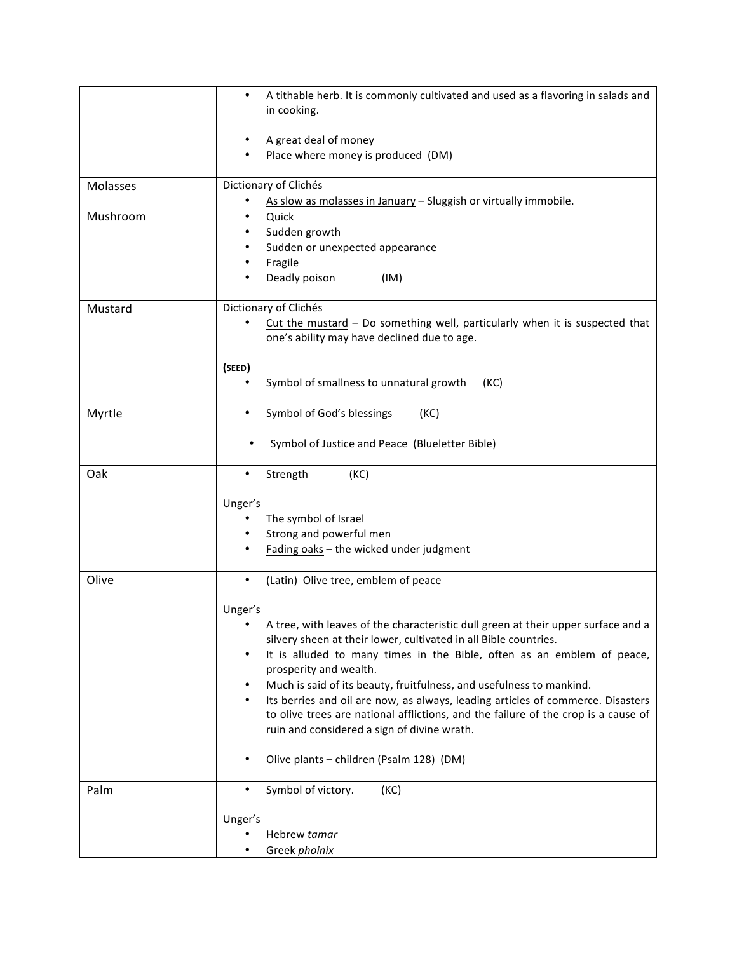|          | A tithable herb. It is commonly cultivated and used as a flavoring in salads and<br>$\bullet$<br>in cooking.                                                                                                                                                                                                                                                                                                                                                                                                                                                         |
|----------|----------------------------------------------------------------------------------------------------------------------------------------------------------------------------------------------------------------------------------------------------------------------------------------------------------------------------------------------------------------------------------------------------------------------------------------------------------------------------------------------------------------------------------------------------------------------|
|          | A great deal of money<br>Place where money is produced (DM)                                                                                                                                                                                                                                                                                                                                                                                                                                                                                                          |
| Molasses | Dictionary of Clichés<br>As slow as molasses in January - Sluggish or virtually immobile.                                                                                                                                                                                                                                                                                                                                                                                                                                                                            |
| Mushroom | Quick<br>$\bullet$<br>Sudden growth<br>Sudden or unexpected appearance<br>Fragile<br>Deadly poison<br>(IM)                                                                                                                                                                                                                                                                                                                                                                                                                                                           |
| Mustard  | Dictionary of Clichés<br>Cut the mustard - Do something well, particularly when it is suspected that<br>one's ability may have declined due to age.                                                                                                                                                                                                                                                                                                                                                                                                                  |
|          | (SEED)<br>Symbol of smallness to unnatural growth<br>(KC)                                                                                                                                                                                                                                                                                                                                                                                                                                                                                                            |
| Myrtle   | Symbol of God's blessings<br>(KC)                                                                                                                                                                                                                                                                                                                                                                                                                                                                                                                                    |
|          | Symbol of Justice and Peace (Blueletter Bible)                                                                                                                                                                                                                                                                                                                                                                                                                                                                                                                       |
| Oak      | Strength<br>(KC)<br>٠                                                                                                                                                                                                                                                                                                                                                                                                                                                                                                                                                |
|          | Unger's<br>The symbol of Israel<br>Strong and powerful men<br>Fading oaks - the wicked under judgment                                                                                                                                                                                                                                                                                                                                                                                                                                                                |
| Olive    | (Latin) Olive tree, emblem of peace<br>$\bullet$                                                                                                                                                                                                                                                                                                                                                                                                                                                                                                                     |
|          | Unger's<br>A tree, with leaves of the characteristic dull green at their upper surface and a<br>silvery sheen at their lower, cultivated in all Bible countries.<br>It is alluded to many times in the Bible, often as an emblem of peace,<br>prosperity and wealth.<br>Much is said of its beauty, fruitfulness, and usefulness to mankind.<br>Its berries and oil are now, as always, leading articles of commerce. Disasters<br>to olive trees are national afflictions, and the failure of the crop is a cause of<br>ruin and considered a sign of divine wrath. |
|          | Olive plants - children (Psalm 128) (DM)                                                                                                                                                                                                                                                                                                                                                                                                                                                                                                                             |
| Palm     | Symbol of victory.<br>(KC)<br>٠                                                                                                                                                                                                                                                                                                                                                                                                                                                                                                                                      |
|          | Unger's                                                                                                                                                                                                                                                                                                                                                                                                                                                                                                                                                              |
|          | Hebrew tamar<br>Greek phoinix                                                                                                                                                                                                                                                                                                                                                                                                                                                                                                                                        |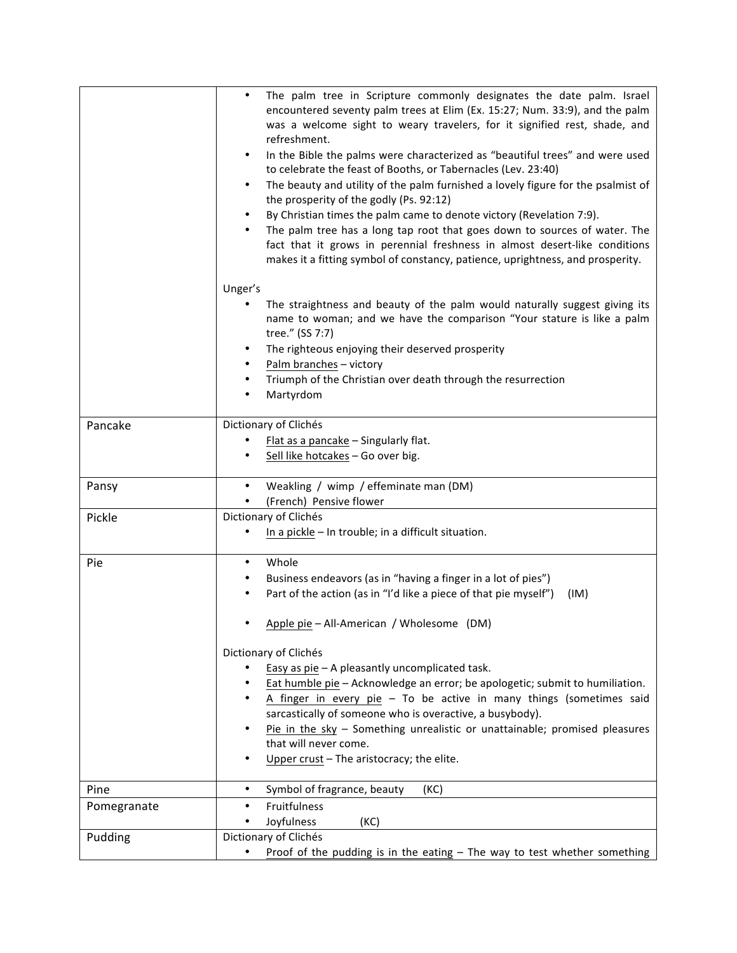|             | The palm tree in Scripture commonly designates the date palm. Israel<br>encountered seventy palm trees at Elim (Ex. 15:27; Num. 33:9), and the palm<br>was a welcome sight to weary travelers, for it signified rest, shade, and<br>refreshment.<br>In the Bible the palms were characterized as "beautiful trees" and were used<br>$\bullet$<br>to celebrate the feast of Booths, or Tabernacles (Lev. 23:40)<br>The beauty and utility of the palm furnished a lovely figure for the psalmist of<br>$\bullet$<br>the prosperity of the godly (Ps. 92:12)<br>By Christian times the palm came to denote victory (Revelation 7:9).<br>The palm tree has a long tap root that goes down to sources of water. The<br>fact that it grows in perennial freshness in almost desert-like conditions<br>makes it a fitting symbol of constancy, patience, uprightness, and prosperity. |
|-------------|---------------------------------------------------------------------------------------------------------------------------------------------------------------------------------------------------------------------------------------------------------------------------------------------------------------------------------------------------------------------------------------------------------------------------------------------------------------------------------------------------------------------------------------------------------------------------------------------------------------------------------------------------------------------------------------------------------------------------------------------------------------------------------------------------------------------------------------------------------------------------------|
|             | Unger's<br>The straightness and beauty of the palm would naturally suggest giving its<br>name to woman; and we have the comparison "Your stature is like a palm<br>tree." (SS 7:7)<br>The righteous enjoying their deserved prosperity<br>Palm branches - victory<br>Triumph of the Christian over death through the resurrection<br>Martyrdom                                                                                                                                                                                                                                                                                                                                                                                                                                                                                                                                  |
| Pancake     | Dictionary of Clichés<br>Flat as a pancake - Singularly flat.<br>Sell like hotcakes - Go over big.                                                                                                                                                                                                                                                                                                                                                                                                                                                                                                                                                                                                                                                                                                                                                                              |
| Pansy       | Weakling / wimp / effeminate man (DM)<br>(French) Pensive flower                                                                                                                                                                                                                                                                                                                                                                                                                                                                                                                                                                                                                                                                                                                                                                                                                |
| Pickle      | Dictionary of Clichés<br>In a pickle - In trouble; in a difficult situation.                                                                                                                                                                                                                                                                                                                                                                                                                                                                                                                                                                                                                                                                                                                                                                                                    |
| Pie         | Whole<br>Business endeavors (as in "having a finger in a lot of pies")<br>Part of the action (as in "I'd like a piece of that pie myself")<br>(IM)<br>Apple pie - All-American / Wholesome (DM)                                                                                                                                                                                                                                                                                                                                                                                                                                                                                                                                                                                                                                                                                 |
|             | Dictionary of Clichés<br>Easy as pie - A pleasantly uncomplicated task.<br>Eat humble pie - Acknowledge an error; be apologetic; submit to humiliation.<br>A finger in every pie $-$ To be active in many things (sometimes said<br>sarcastically of someone who is overactive, a busybody).<br>Pie in the sky $-$ Something unrealistic or unattainable; promised pleasures<br>that will never come.<br>Upper crust - The aristocracy; the elite.                                                                                                                                                                                                                                                                                                                                                                                                                              |
| Pine        | Symbol of fragrance, beauty<br>(KC)<br>$\bullet$                                                                                                                                                                                                                                                                                                                                                                                                                                                                                                                                                                                                                                                                                                                                                                                                                                |
| Pomegranate | Fruitfulness<br>Joyfulness<br>(KC)                                                                                                                                                                                                                                                                                                                                                                                                                                                                                                                                                                                                                                                                                                                                                                                                                                              |
| Pudding     | Dictionary of Clichés                                                                                                                                                                                                                                                                                                                                                                                                                                                                                                                                                                                                                                                                                                                                                                                                                                                           |
|             | Proof of the pudding is in the eating $-$ The way to test whether something                                                                                                                                                                                                                                                                                                                                                                                                                                                                                                                                                                                                                                                                                                                                                                                                     |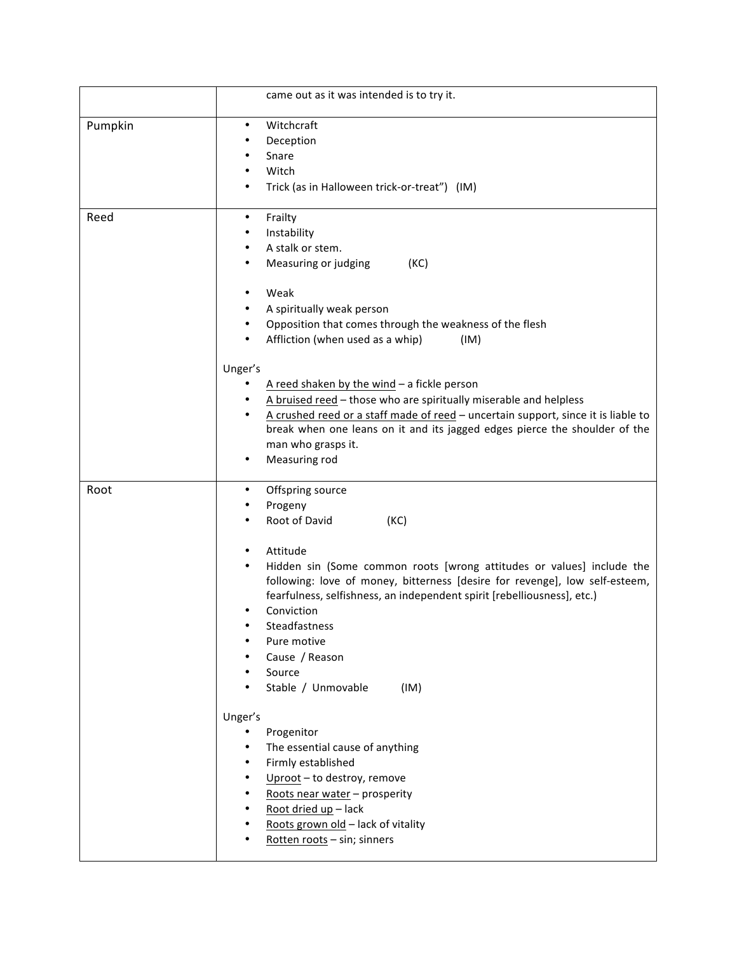|         | came out as it was intended is to try it.                                                                                                                                                                                                                                                                                                                                                                                |
|---------|--------------------------------------------------------------------------------------------------------------------------------------------------------------------------------------------------------------------------------------------------------------------------------------------------------------------------------------------------------------------------------------------------------------------------|
| Pumpkin | Witchcraft<br>$\bullet$<br>Deception<br>Snare<br>Witch<br>Trick (as in Halloween trick-or-treat") (IM)                                                                                                                                                                                                                                                                                                                   |
| Reed    | Frailty<br>$\bullet$<br>Instability<br>A stalk or stem.<br>Measuring or judging<br>(KC)<br>Weak<br>A spiritually weak person<br>Opposition that comes through the weakness of the flesh<br>Affliction (when used as a whip)<br>(IM)<br>Unger's                                                                                                                                                                           |
|         | A reed shaken by the wind $-$ a fickle person<br>A bruised reed - those who are spiritually miserable and helpless<br>A crushed reed or a staff made of reed - uncertain support, since it is liable to<br>break when one leans on it and its jagged edges pierce the shoulder of the<br>man who grasps it.<br>Measuring rod                                                                                             |
| Root    | Offspring source<br>Progeny<br>Root of David<br>(KC)<br>Attitude<br>$\bullet$<br>Hidden sin (Some common roots [wrong attitudes or values] include the<br>following: love of money, bitterness [desire for revenge], low self-esteem,<br>fearfulness, selfishness, an independent spirit [rebelliousness], etc.)<br>Conviction<br>Steadfastness<br>Pure motive<br>Cause / Reason<br>Source<br>Stable / Unmovable<br>(IM) |
|         | Unger's<br>Progenitor<br>The essential cause of anything<br>Firmly established<br>Uproot - to destroy, remove<br>Roots near water - prosperity<br>Root dried up - lack<br>Roots grown old - lack of vitality<br>Rotten roots - sin; sinners                                                                                                                                                                              |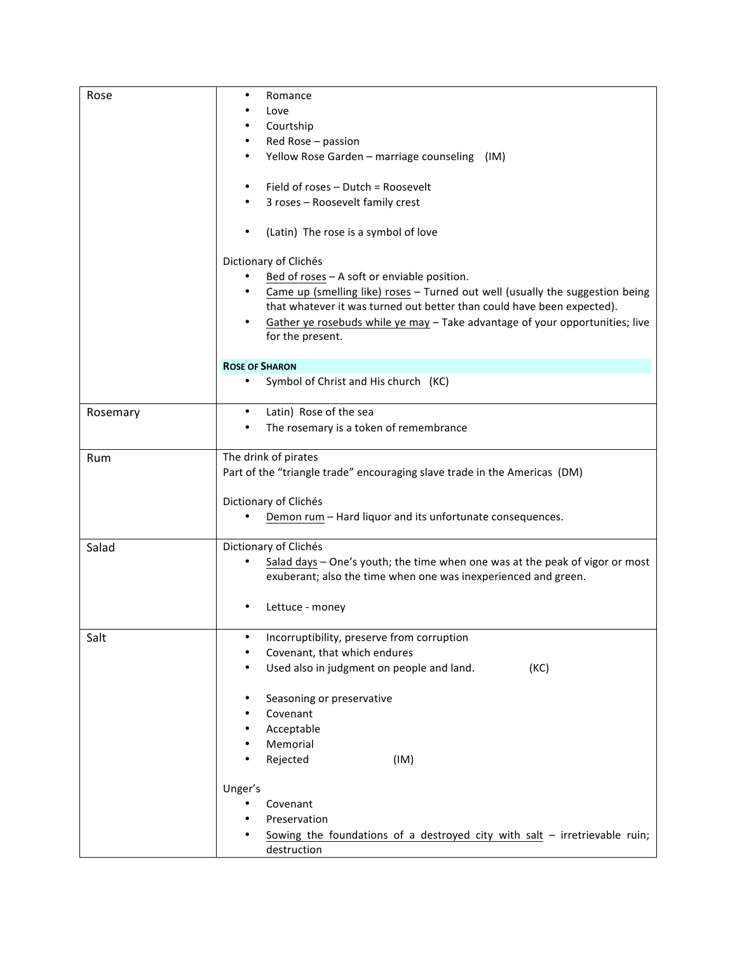| Rose     | Romance<br>٠<br>Love<br>Courtship<br>Red Rose - passion<br>Yellow Rose Garden - marriage counseling (IM)<br>٠<br>Field of roses - Dutch = Roosevelt                                                                                                                                                                                 |
|----------|-------------------------------------------------------------------------------------------------------------------------------------------------------------------------------------------------------------------------------------------------------------------------------------------------------------------------------------|
|          | 3 roses - Roosevelt family crest                                                                                                                                                                                                                                                                                                    |
|          | (Latin) The rose is a symbol of love                                                                                                                                                                                                                                                                                                |
|          | Dictionary of Clichés<br>Bed of roses - A soft or enviable position.<br>Came up (smelling like) roses - Turned out well (usually the suggestion being<br>that whatever it was turned out better than could have been expected).<br>Gather ye rosebuds while ye may - Take advantage of your opportunities; live<br>for the present. |
|          | <b>ROSE OF SHARON</b>                                                                                                                                                                                                                                                                                                               |
|          | Symbol of Christ and His church (KC)                                                                                                                                                                                                                                                                                                |
| Rosemary | Latin) Rose of the sea<br>٠<br>The rosemary is a token of remembrance                                                                                                                                                                                                                                                               |
| Rum      | The drink of pirates<br>Part of the "triangle trade" encouraging slave trade in the Americas (DM)<br>Dictionary of Clichés<br>Demon rum - Hard liquor and its unfortunate consequences.                                                                                                                                             |
| Salad    | Dictionary of Clichés<br>Salad days - One's youth; the time when one was at the peak of vigor or most<br>exuberant; also the time when one was inexperienced and green.<br>Lettuce - money                                                                                                                                          |
| Salt     | Incorruptibility, preserve from corruption<br>$\bullet$<br>Covenant, that which endures<br>Used also in judgment on people and land.<br>(KC)                                                                                                                                                                                        |
|          | Seasoning or preservative<br>Covenant<br>Acceptable<br>Memorial<br>Rejected<br>(IM)                                                                                                                                                                                                                                                 |
|          | Unger's<br>Covenant<br>Preservation<br>Sowing the foundations of a destroyed city with salt $-$ irretrievable ruin;<br>destruction                                                                                                                                                                                                  |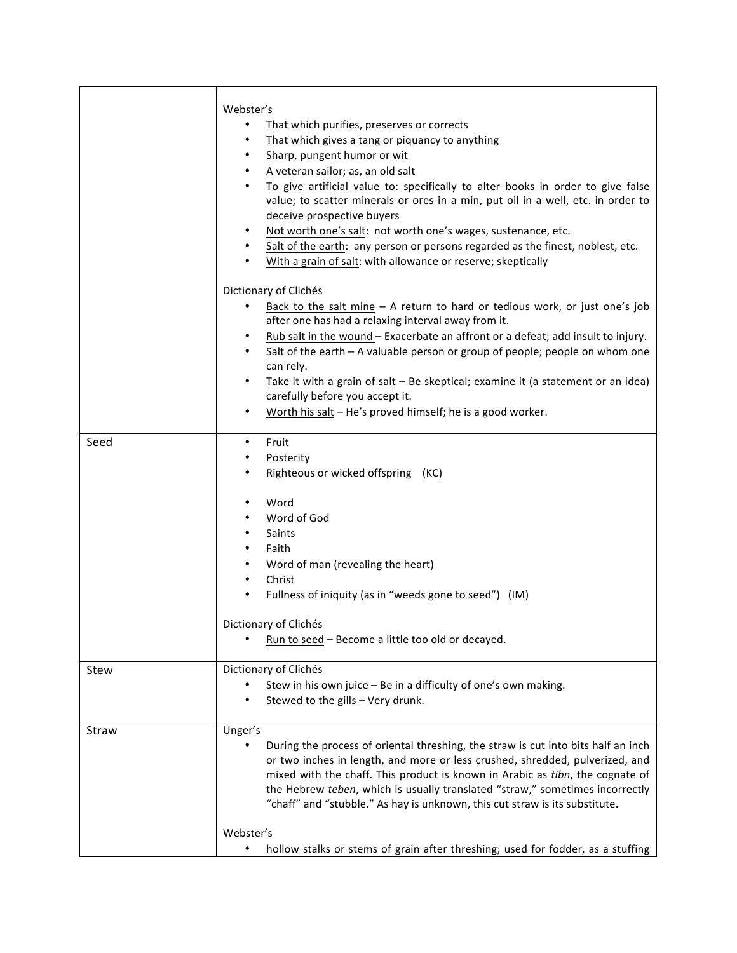|       | Webster's<br>That which purifies, preserves or corrects<br>That which gives a tang or piquancy to anything<br>٠<br>Sharp, pungent humor or wit<br>$\bullet$<br>A veteran sailor; as, an old salt<br>$\bullet$<br>To give artificial value to: specifically to alter books in order to give false<br>$\bullet$<br>value; to scatter minerals or ores in a min, put oil in a well, etc. in order to<br>deceive prospective buyers<br>Not worth one's salt: not worth one's wages, sustenance, etc.<br>Salt of the earth: any person or persons regarded as the finest, noblest, etc.<br>$\bullet$<br>With a grain of salt: with allowance or reserve; skeptically |
|-------|-----------------------------------------------------------------------------------------------------------------------------------------------------------------------------------------------------------------------------------------------------------------------------------------------------------------------------------------------------------------------------------------------------------------------------------------------------------------------------------------------------------------------------------------------------------------------------------------------------------------------------------------------------------------|
|       | Dictionary of Clichés<br>Back to the salt mine $-$ A return to hard or tedious work, or just one's job<br>after one has had a relaxing interval away from it.<br>Rub salt in the wound - Exacerbate an affront or a defeat; add insult to injury.<br>٠<br>Salt of the earth - A valuable person or group of people; people on whom one<br>$\bullet$<br>can rely.<br>Take it with a grain of salt - Be skeptical; examine it (a statement or an idea)<br>$\bullet$<br>carefully before you accept it.<br>Worth his salt - He's proved himself; he is a good worker.<br>٠                                                                                         |
| Seed  | Fruit<br>$\bullet$<br>Posterity<br>٠<br>Righteous or wicked offspring (KC)<br>Word<br>٠<br>Word of God<br>Saints<br>$\bullet$<br>Faith                                                                                                                                                                                                                                                                                                                                                                                                                                                                                                                          |
|       | Word of man (revealing the heart)<br>$\bullet$<br>Christ<br>$\bullet$<br>Fullness of iniquity (as in "weeds gone to seed") (IM)<br>$\bullet$<br>Dictionary of Clichés<br>Run to seed - Become a little too old or decayed.                                                                                                                                                                                                                                                                                                                                                                                                                                      |
| Stew  | Dictionary of Clichés<br>Stew in his own juice - Be in a difficulty of one's own making.<br>Stewed to the gills - Very drunk.                                                                                                                                                                                                                                                                                                                                                                                                                                                                                                                                   |
| Straw | Unger's<br>During the process of oriental threshing, the straw is cut into bits half an inch<br>or two inches in length, and more or less crushed, shredded, pulverized, and<br>mixed with the chaff. This product is known in Arabic as tibn, the cognate of<br>the Hebrew teben, which is usually translated "straw," sometimes incorrectly<br>"chaff" and "stubble." As hay is unknown, this cut straw is its substitute.<br>Webster's<br>hollow stalks or stems of grain after threshing; used for fodder, as a stuffing<br>٠                                                                                                                               |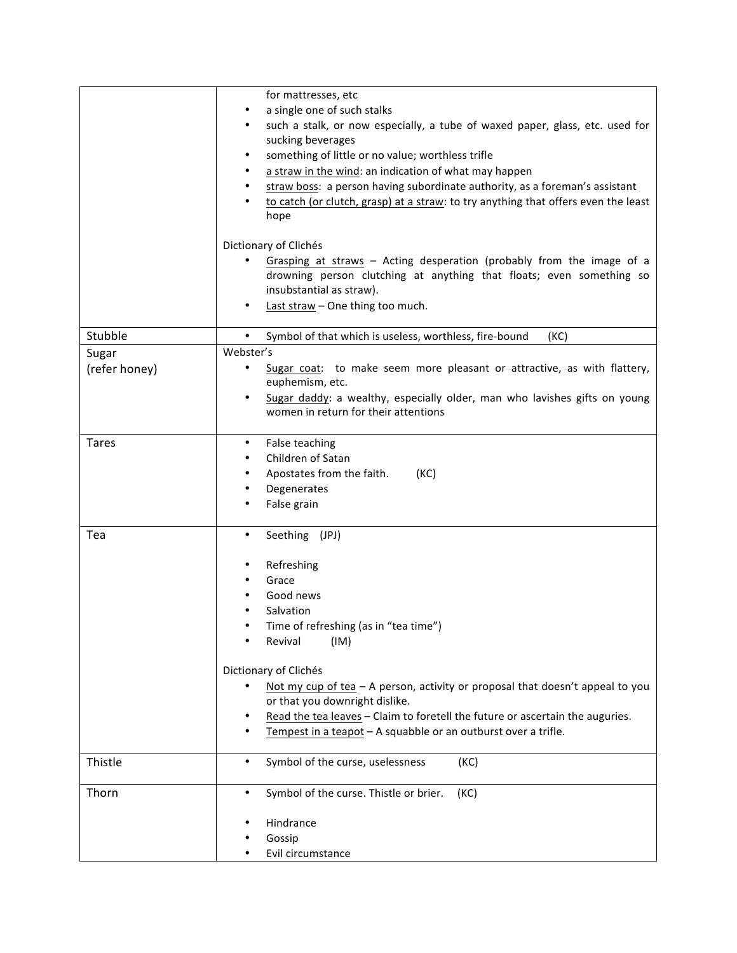|               | for mattresses, etc<br>a single one of such stalks<br>such a stalk, or now especially, a tube of waxed paper, glass, etc. used for<br>sucking beverages<br>something of little or no value; worthless trifle<br>a straw in the wind: an indication of what may happen<br>straw boss: a person having subordinate authority, as a foreman's assistant<br>to catch (or clutch, grasp) at a straw: to try anything that offers even the least<br>hope |
|---------------|----------------------------------------------------------------------------------------------------------------------------------------------------------------------------------------------------------------------------------------------------------------------------------------------------------------------------------------------------------------------------------------------------------------------------------------------------|
|               | Dictionary of Clichés                                                                                                                                                                                                                                                                                                                                                                                                                              |
|               | Grasping at straws - Acting desperation (probably from the image of a<br>drowning person clutching at anything that floats; even something so<br>insubstantial as straw).<br>Last straw - One thing too much.                                                                                                                                                                                                                                      |
| Stubble       | Symbol of that which is useless, worthless, fire-bound<br>$\bullet$<br>(KC)                                                                                                                                                                                                                                                                                                                                                                        |
| Sugar         | Webster's                                                                                                                                                                                                                                                                                                                                                                                                                                          |
| (refer honey) | Sugar coat: to make seem more pleasant or attractive, as with flattery,<br>euphemism, etc.                                                                                                                                                                                                                                                                                                                                                         |
|               | Sugar daddy: a wealthy, especially older, man who lavishes gifts on young<br>٠<br>women in return for their attentions                                                                                                                                                                                                                                                                                                                             |
| <b>Tares</b>  | False teaching<br>٠                                                                                                                                                                                                                                                                                                                                                                                                                                |
|               | Children of Satan                                                                                                                                                                                                                                                                                                                                                                                                                                  |
|               | Apostates from the faith.<br>(KC)                                                                                                                                                                                                                                                                                                                                                                                                                  |
|               | Degenerates                                                                                                                                                                                                                                                                                                                                                                                                                                        |
|               | False grain                                                                                                                                                                                                                                                                                                                                                                                                                                        |
| Tea           | Seething (JPJ)<br>٠                                                                                                                                                                                                                                                                                                                                                                                                                                |
|               | Refreshing                                                                                                                                                                                                                                                                                                                                                                                                                                         |
|               | Grace                                                                                                                                                                                                                                                                                                                                                                                                                                              |
|               | Good news                                                                                                                                                                                                                                                                                                                                                                                                                                          |
|               | Salvation                                                                                                                                                                                                                                                                                                                                                                                                                                          |
|               | Time of refreshing (as in "tea time")                                                                                                                                                                                                                                                                                                                                                                                                              |
|               | (IM)<br>Revival                                                                                                                                                                                                                                                                                                                                                                                                                                    |
|               | Dictionary of Clichés                                                                                                                                                                                                                                                                                                                                                                                                                              |
|               | Not my cup of tea - A person, activity or proposal that doesn't appeal to you                                                                                                                                                                                                                                                                                                                                                                      |
|               | or that you downright dislike.                                                                                                                                                                                                                                                                                                                                                                                                                     |
|               | Read the tea leaves - Claim to foretell the future or ascertain the auguries.                                                                                                                                                                                                                                                                                                                                                                      |
|               | Tempest in a teapot - A squabble or an outburst over a trifle.                                                                                                                                                                                                                                                                                                                                                                                     |
| Thistle       | Symbol of the curse, uselessness<br>(KC)<br>$\bullet$                                                                                                                                                                                                                                                                                                                                                                                              |
| Thorn         | Symbol of the curse. Thistle or brier.<br>$\bullet$<br>(KC)                                                                                                                                                                                                                                                                                                                                                                                        |
|               | Hindrance                                                                                                                                                                                                                                                                                                                                                                                                                                          |
|               | Gossip                                                                                                                                                                                                                                                                                                                                                                                                                                             |
|               | Evil circumstance                                                                                                                                                                                                                                                                                                                                                                                                                                  |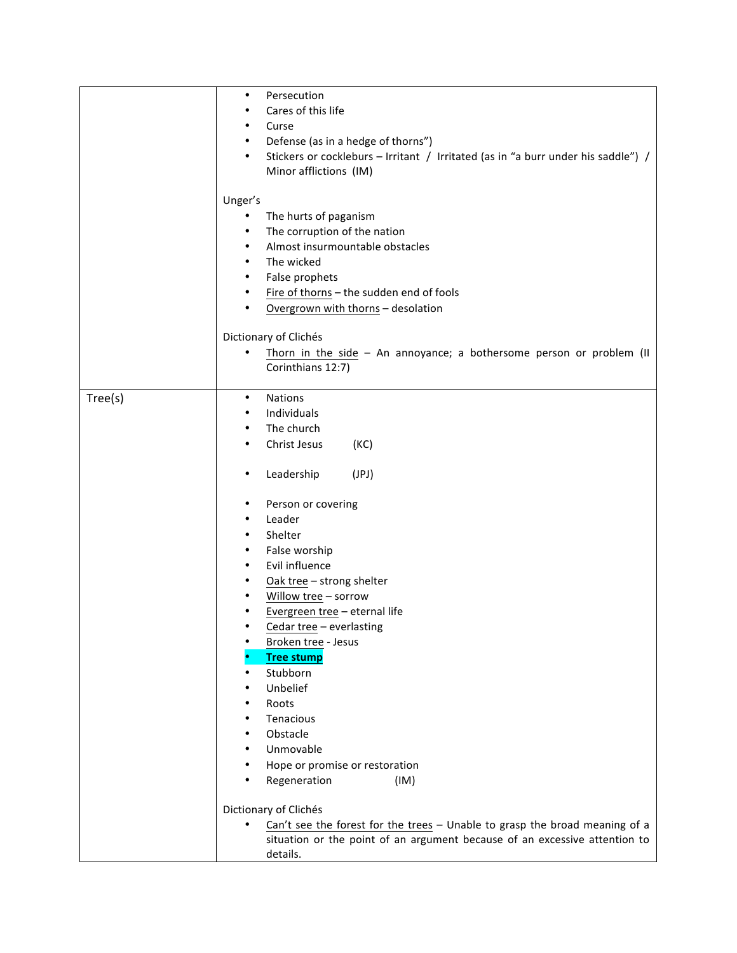|         | $\bullet$                                                                                      |
|---------|------------------------------------------------------------------------------------------------|
|         | Persecution                                                                                    |
|         | Cares of this life<br>٠                                                                        |
|         | Curse<br>٠                                                                                     |
|         | Defense (as in a hedge of thorns")<br>$\bullet$                                                |
|         | Stickers or cockleburs - Irritant / Irritated (as in "a burr under his saddle") /<br>$\bullet$ |
|         | Minor afflictions (IM)                                                                         |
|         |                                                                                                |
|         | Unger's                                                                                        |
|         | The hurts of paganism<br>٠                                                                     |
|         | The corruption of the nation<br>$\bullet$                                                      |
|         | Almost insurmountable obstacles<br>$\bullet$                                                   |
|         | The wicked<br>$\bullet$                                                                        |
|         | False prophets<br>$\bullet$                                                                    |
|         | Fire of thorns - the sudden end of fools<br>٠                                                  |
|         | Overgrown with thorns - desolation<br>٠                                                        |
|         |                                                                                                |
|         | Dictionary of Clichés                                                                          |
|         | Thorn in the side $-$ An annoyance; a bothersome person or problem (II                         |
|         | Corinthians 12:7)                                                                              |
|         |                                                                                                |
| Tree(s) | <b>Nations</b><br>$\bullet$                                                                    |
|         | Individuals<br>٠                                                                               |
|         | The church<br>$\bullet$                                                                        |
|         | Christ Jesus<br>(KC)<br>٠                                                                      |
|         |                                                                                                |
|         | Leadership<br>(JPI)<br>٠                                                                       |
|         | Person or covering<br>$\bullet$                                                                |
|         | Leader<br>$\bullet$                                                                            |
|         | Shelter<br>$\bullet$                                                                           |
|         | False worship<br>$\bullet$                                                                     |
|         | Evil influence<br>$\bullet$                                                                    |
|         | Oak tree - strong shelter<br>٠                                                                 |
|         | Willow tree - sorrow<br>٠                                                                      |
|         | Evergreen tree - eternal life<br>٠                                                             |
|         | Cedar tree - everlasting                                                                       |
|         | Broken tree - Jesus                                                                            |
|         | <b>Tree stump</b>                                                                              |
|         | Stubborn<br>٠                                                                                  |
|         | Unbelief<br>٠                                                                                  |
|         | ٠                                                                                              |
|         | Roots                                                                                          |
|         | Tenacious                                                                                      |
|         | Obstacle<br>٠                                                                                  |
|         | Unmovable<br>٠                                                                                 |
|         | Hope or promise or restoration                                                                 |
|         | Regeneration<br>(IM)                                                                           |
|         | Dictionary of Clichés                                                                          |
|         | Can't see the forest for the trees - Unable to grasp the broad meaning of a<br>٠               |
|         | situation or the point of an argument because of an excessive attention to                     |
|         | details.                                                                                       |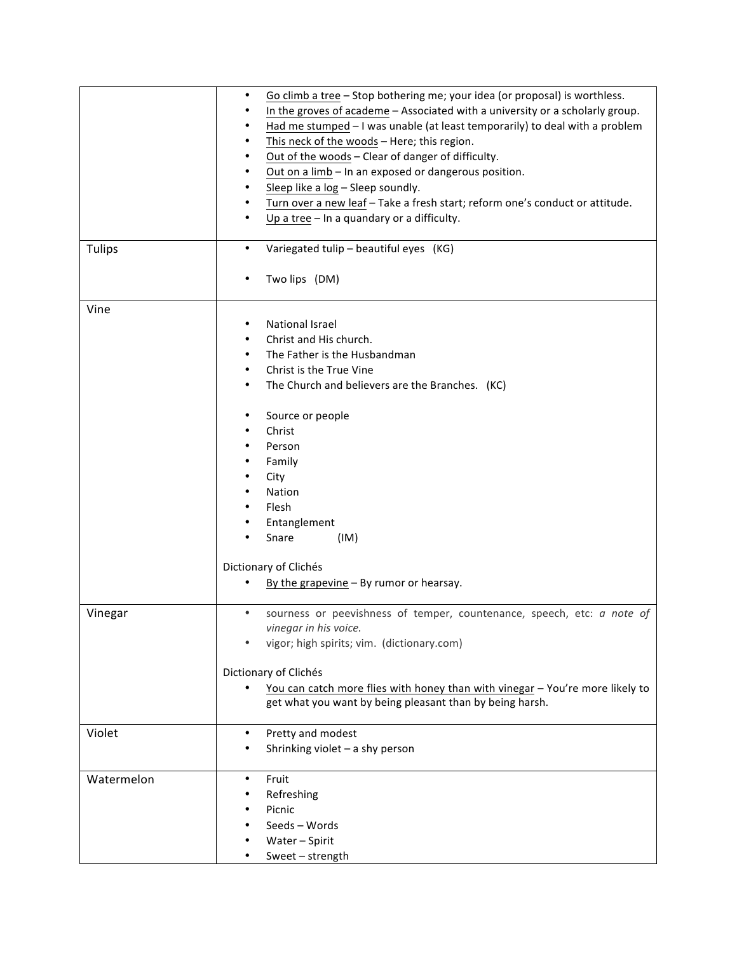|               | Go climb a tree - Stop bothering me; your idea (or proposal) is worthless.<br>٠<br>In the groves of academe - Associated with a university or a scholarly group.<br>Had me stumped - I was unable (at least temporarily) to deal with a problem<br>This neck of the woods - Here; this region.<br>Out of the woods - Clear of danger of difficulty.<br>Out on a limb - In an exposed or dangerous position.<br>Sleep like a log - Sleep soundly.<br>Turn over a new leaf - Take a fresh start; reform one's conduct or attitude.<br>Up a tree $-$ In a quandary or a difficulty. |
|---------------|----------------------------------------------------------------------------------------------------------------------------------------------------------------------------------------------------------------------------------------------------------------------------------------------------------------------------------------------------------------------------------------------------------------------------------------------------------------------------------------------------------------------------------------------------------------------------------|
| <b>Tulips</b> | Variegated tulip - beautiful eyes (KG)<br>$\bullet$<br>Two lips (DM)                                                                                                                                                                                                                                                                                                                                                                                                                                                                                                             |
| Vine          | National Israel<br>Christ and His church.<br>The Father is the Husbandman<br>Christ is the True Vine<br>The Church and believers are the Branches. (KC)<br>Source or people<br>٠<br>Christ<br>Person<br>Family<br>City<br>Nation<br>Flesh<br>Entanglement<br>Snare<br>(IM)<br>Dictionary of Clichés<br>By the grapevine $-$ By rumor or hearsay.<br>٠                                                                                                                                                                                                                            |
| Vinegar       | sourness or peevishness of temper, countenance, speech, etc: a note of<br>$\bullet$<br>vinegar in his voice.<br>vigor; high spirits; vim. (dictionary.com)<br>Dictionary of Clichés<br>You can catch more flies with honey than with vinegar - You're more likely to<br>get what you want by being pleasant than by being harsh.                                                                                                                                                                                                                                                 |
| Violet        | Pretty and modest<br>٠<br>Shrinking violet - a shy person                                                                                                                                                                                                                                                                                                                                                                                                                                                                                                                        |
| Watermelon    | Fruit<br>٠<br>Refreshing<br>Picnic<br>Seeds - Words<br>Water - Spirit<br>Sweet - strength                                                                                                                                                                                                                                                                                                                                                                                                                                                                                        |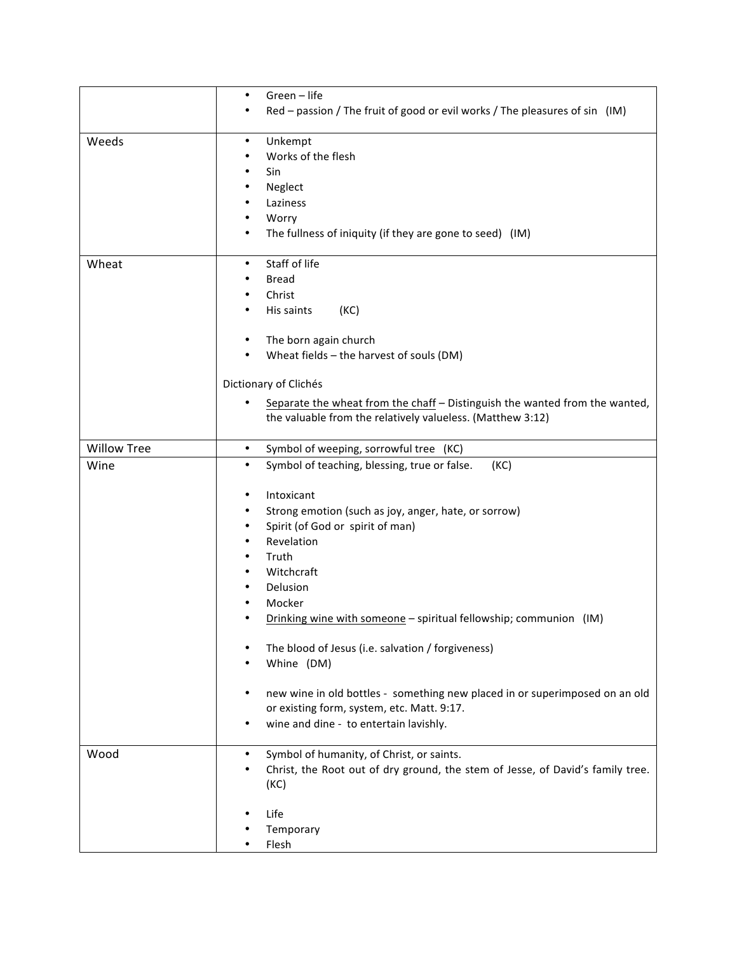|                    | Green - life<br>٠                                                                                                                                                                                                                                                                                                                                                                                                                                                                                                                                                                                                  |
|--------------------|--------------------------------------------------------------------------------------------------------------------------------------------------------------------------------------------------------------------------------------------------------------------------------------------------------------------------------------------------------------------------------------------------------------------------------------------------------------------------------------------------------------------------------------------------------------------------------------------------------------------|
|                    | Red – passion / The fruit of good or evil works / The pleasures of sin (IM)                                                                                                                                                                                                                                                                                                                                                                                                                                                                                                                                        |
| Weeds              | Unkempt<br>$\bullet$<br>Works of the flesh<br>٠<br>Sin<br>$\bullet$<br>Neglect<br>٠<br>Laziness<br>$\bullet$<br>Worry<br>٠<br>The fullness of iniquity (if they are gone to seed) (IM)<br>$\bullet$                                                                                                                                                                                                                                                                                                                                                                                                                |
| Wheat              | Staff of life<br>$\bullet$<br><b>Bread</b><br>Christ<br>٠<br>His saints<br>(KC)<br>٠<br>The born again church<br>٠                                                                                                                                                                                                                                                                                                                                                                                                                                                                                                 |
|                    | Wheat fields - the harvest of souls (DM)                                                                                                                                                                                                                                                                                                                                                                                                                                                                                                                                                                           |
|                    | Dictionary of Clichés<br>Separate the wheat from the chaff - Distinguish the wanted from the wanted,<br>$\bullet$<br>the valuable from the relatively valueless. (Matthew 3:12)                                                                                                                                                                                                                                                                                                                                                                                                                                    |
| <b>Willow Tree</b> | Symbol of weeping, sorrowful tree<br>(KC)<br>٠                                                                                                                                                                                                                                                                                                                                                                                                                                                                                                                                                                     |
| Wine               | Symbol of teaching, blessing, true or false.<br>(KC)<br>$\bullet$<br>Intoxicant<br>٠<br>Strong emotion (such as joy, anger, hate, or sorrow)<br>٠<br>Spirit (of God or spirit of man)<br>$\bullet$<br>Revelation<br>٠<br>Truth<br>Witchcraft<br>Delusion<br>٠<br>Mocker<br>Drinking wine with someone - spiritual fellowship; communion (IM)<br>The blood of Jesus (i.e. salvation / forgiveness)<br>٠<br>Whine (DM)<br>٠<br>new wine in old bottles - something new placed in or superimposed on an old<br>$\bullet$<br>or existing form, system, etc. Matt. 9:17.<br>wine and dine - to entertain lavishly.<br>٠ |
| Wood               | Symbol of humanity, of Christ, or saints.<br>$\bullet$<br>Christ, the Root out of dry ground, the stem of Jesse, of David's family tree.<br>$\bullet$<br>(KC)<br>Life<br>Temporary                                                                                                                                                                                                                                                                                                                                                                                                                                 |
|                    | Flesh                                                                                                                                                                                                                                                                                                                                                                                                                                                                                                                                                                                                              |